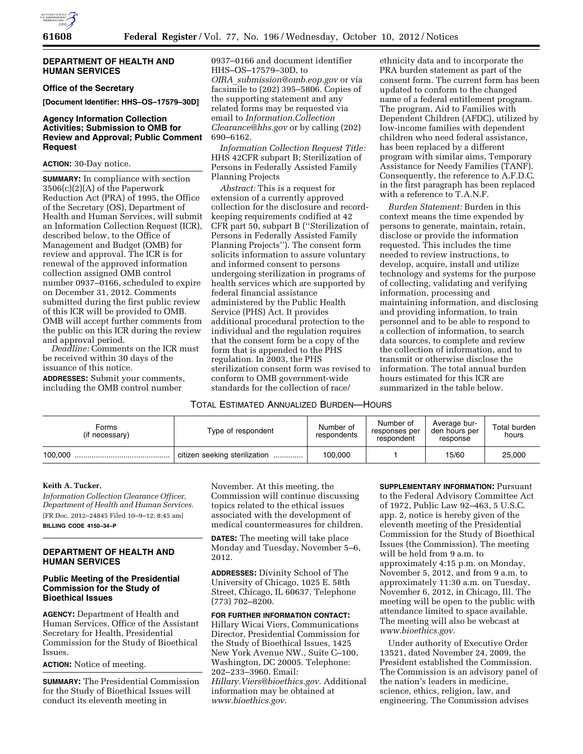

#### **DEPARTMENT OF HEALTH AND HUMAN SERVICES**

#### **Office of the Secretary**

**[Document Identifier: HHS–OS–17579–30D]** 

## **Agency Information Collection Activities; Submission to OMB for Review and Approval; Public Comment Request**

#### **ACTION:** 30-Day notice.

**SUMMARY:** In compliance with section 3506(c)(2)(A) of the Paperwork Reduction Act (PRA) of 1995, the Office of the Secretary (OS), Department of Health and Human Services, will submit an Information Collection Request (ICR), described below, to the Office of Management and Budget (OMB) for review and approval. The ICR is for renewal of the approved information collection assigned OMB control number 0937–0166, scheduled to expire on December 31, 2012. Comments submitted during the first public review of this ICR will be provided to OMB. OMB will accept further comments from the public on this ICR during the review and approval period.

*Deadline:* Comments on the ICR must be received within 30 days of the issuance of this notice.

**ADDRESSES:** Submit your comments, including the OMB control number

0937–0166 and document identifier HHS–OS–17579–30D, to *OIRA*\_*[submission@omb.eop.gov](mailto:OIRA_submission@omb.eop.gov)* or via facsimile to (202) 395–5806. Copies of the supporting statement and any related forms may be requested via email to *[Information.Collection](mailto:Information.CollectionClearance@hhs.gov) Clearance@hhs.gov* or by calling (2 690–6162.

*Information Collection Request* HHS 42CFR subpart B; Sterilization Persons in Federally Assisted Family Planning Projects

*Abstract:* This is a request for extension of a currently approved collection for the disclosure and re keeping requirements codified at 42 CFR part 50, subpart B (''Sterilization of Persons in Federally Assisted Family Planning Projects''). The consent form solicits information to assure voluntary and informed consent to persons undergoing sterilization in programs of health services which are supported by federal financial assistance administered by the Public Health Service (PHS) Act. It provides additional procedural protection to the individual and the regulation requires that the consent form be a copy of the form that is appended to the PHS regulation. In 2003, the PHS sterilization consent form was revised to conform to OMB government-wide standards for the collection of race/

# TOTAL ESTIMATED ANNUALIZED BURDEN—HOURS

| Ŧ.     | The program, Aid to Families with                                           |
|--------|-----------------------------------------------------------------------------|
|        | Dependent Children (AFDC), utilized by                                      |
| 202)   | low-income families with dependent<br>children who need federal assistance, |
| Title: | has been replaced by a different                                            |
| n of   | program with similar aims, Temporary                                        |
| ily    | Assistance for Needy Families (TANF).                                       |
|        | Consequently, the reference to A.F.D.C.                                     |
|        | in the first paragraph has been replaced<br>with a reference to T.A.N.F.    |
| ecord- | <i>Burden Statement:</i> Burden in this                                     |

ethnicity data and to incorporate the PRA burden statement as part of the consent form. The current form has been updated to conform to the changed name of a federal entitlement program.

context means the time expended by persons to generate, maintain, retain, disclose or provide the information requested. This includes the time needed to review instructions, to develop, acquire, install and utilize technology and systems for the purpose of collecting, validating and verifying information, processing and maintaining information, and disclosing and providing information, to train personnel and to be able to respond to a collection of information, to search data sources, to complete and review the collection of information, and to transmit or otherwise disclose the information. The total annual burden hours estimated for this ICR are summarized in the table below.

| Forms<br>(if necessary) | Type of respondent            | Number of<br>respondents | Number of<br>responses per<br>respondent | Average bur-<br>den hours per<br>response | Total burden<br>hours |
|-------------------------|-------------------------------|--------------------------|------------------------------------------|-------------------------------------------|-----------------------|
| 100.000                 | citizen seeking sterilization | 100,000                  |                                          | 15/60                                     | 25,000                |

# **Keith A. Tucker,**

*Information Collection Clearance Officer, Department of Health and Human Services.*  [FR Doc. 2012–24845 Filed 10–9–12; 8:45 am] **BILLING CODE 4150–34–P** 

#### **DEPARTMENT OF HEALTH AND HUMAN SERVICES**

#### **Public Meeting of the Presidential Commission for the Study of Bioethical Issues**

**AGENCY:** Department of Health and Human Services, Office of the Assistant Secretary for Health, Presidential Commission for the Study of Bioethical Issues.

# **ACTION:** Notice of meeting.

**SUMMARY:** The Presidential Commission for the Study of Bioethical Issues will conduct its eleventh meeting in

November. At this meeting, the Commission will continue discussing topics related to the ethical issues associated with the development of medical countermeasures for children.

**DATES:** The meeting will take place Monday and Tuesday, November 5–6, 2012.

**ADDRESSES:** Divinity School of The University of Chicago, 1025 E. 58th Street, Chicago, IL 60637. Telephone (773) 702–8200.

# **FOR FURTHER INFORMATION CONTACT:**

Hillary Wicai Viers, Communications Director, Presidential Commission for the Study of Bioethical Issues, 1425 New York Avenue NW., Suite C–100, Washington, DC 20005. Telephone: 202–233–3960. Email:

*[Hillary.Viers@bioethics.gov.](mailto:Hillary.Viers@bioethics.gov)* Additional information may be obtained at *[www.bioethics.gov.](http://www.bioethics.gov)* 

**SUPPLEMENTARY INFORMATION: Pursuant** to the Federal Advisory Committee Act of 1972, Public Law 92–463, 5 U.S.C. app. 2, notice is hereby given of the eleventh meeting of the Presidential Commission for the Study of Bioethical Issues (the Commission). The meeting will be held from 9 a.m. to approximately 4:15 p.m. on Monday, November 5, 2012, and from 9 a.m. to approximately 11:30 a.m. on Tuesday, November 6, 2012, in Chicago, Ill. The meeting will be open to the public with attendance limited to space available. The meeting will also be webcast at *[www.bioethics.gov.](http://www.bioethics.gov)* 

Under authority of Executive Order 13521, dated November 24, 2009, the President established the Commission. The Commission is an advisory panel of the nation's leaders in medicine, science, ethics, religion, law, and engineering. The Commission advises